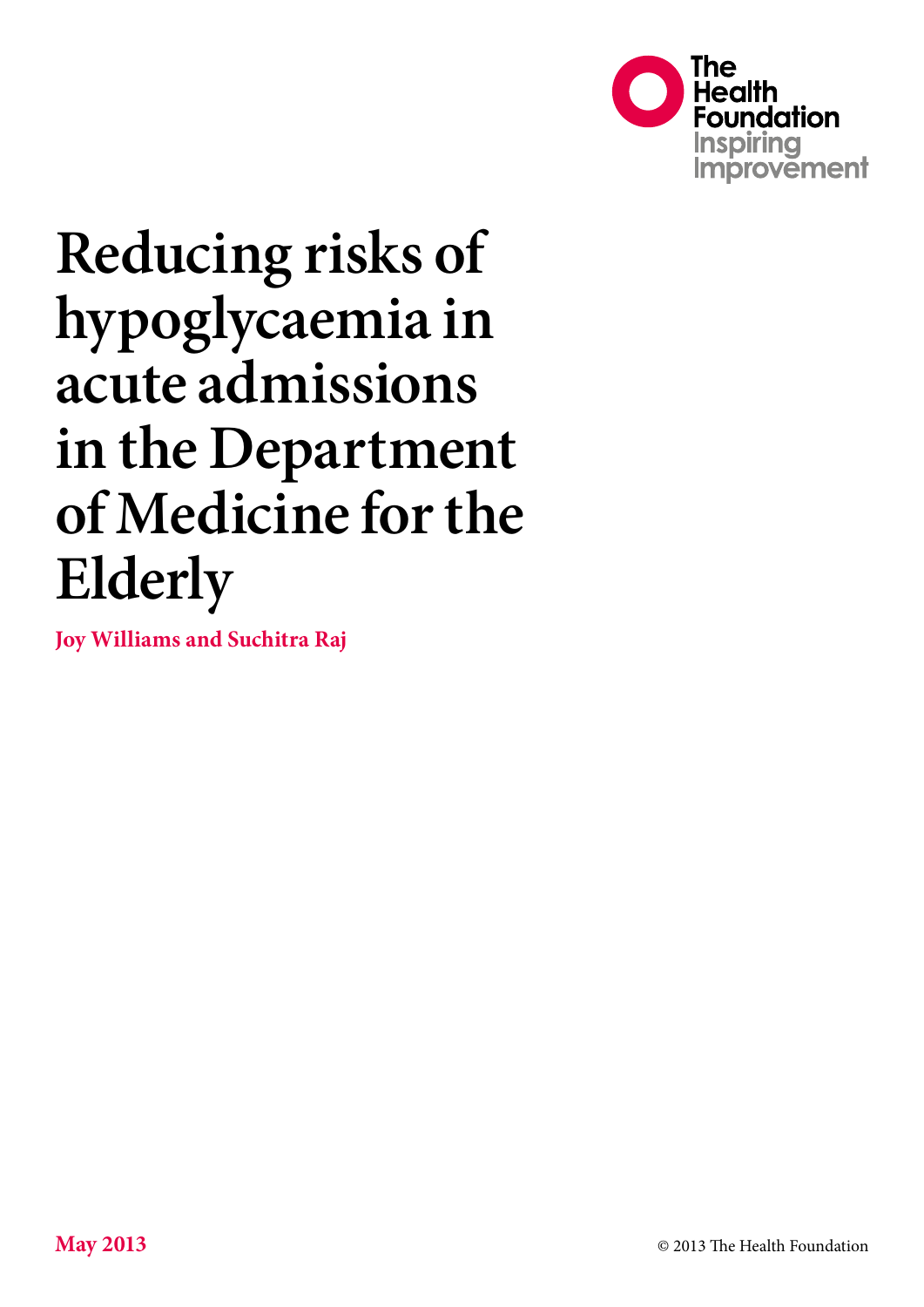

# **Reducing risks of hypoglycaemia in acute admissions in the Department of Medicine for the Elderly**

**Joy Williams and Suchitra Raj**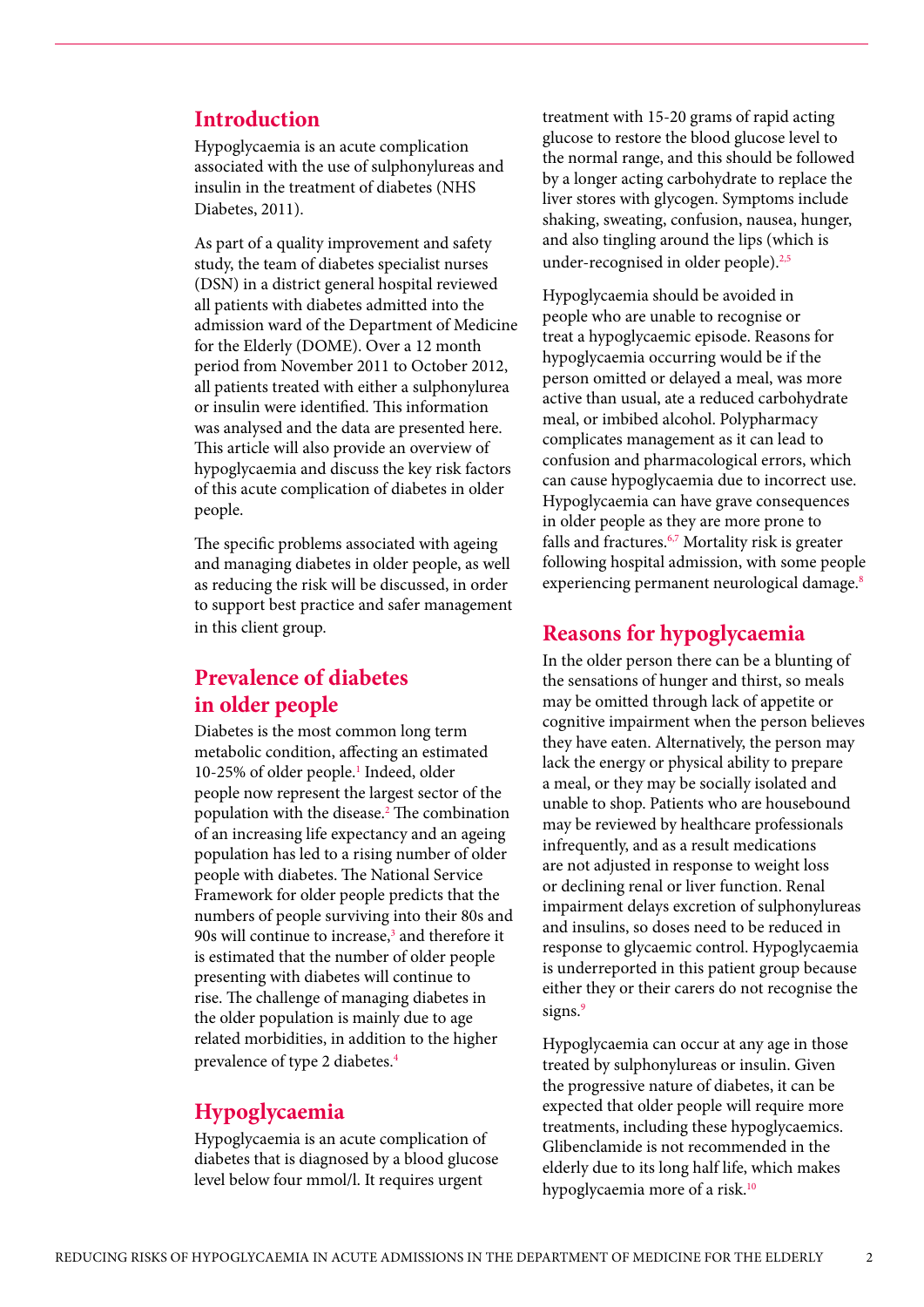#### **Introduction**

Hypoglycaemia is an acute complication associated with the use of sulphonylureas and insulin in the treatment of diabetes (NHS Diabetes, 2011).

As part of a quality improvement and safety study, the team of diabetes specialist nurses (DSN) in a district general hospital reviewed all patients with diabetes admitted into the admission ward of the Department of Medicine for the Elderly (DOME). Over a 12 month period from November 2011 to October 2012, all patients treated with either a sulphonylurea or insulin were identified. This information was analysed and the data are presented here. This article will also provide an overview of hypoglycaemia and discuss the key risk factors of this acute complication of diabetes in older people.

The specific problems associated with ageing and managing diabetes in older people, as well as reducing the risk will be discussed, in order to support best practice and safer management in this client group.

# **Prevalence of diabetes in older people**

Diabetes is the most common long term metabolic condition, affecting an estimated 10-25% of older people.<sup>1</sup> Indeed, older people now represent the largest sector of the population with the disease.<sup>2</sup> The combination of an increasing life expectancy and an ageing population has led to a rising number of older people with diabetes. The National Service Framework for older people predicts that the numbers of people surviving into their 80s and 90s will continue to increase,<sup>3</sup> and therefore it is estimated that the number of older people presenting with diabetes will continue to rise. The challenge of managing diabetes in the older population is mainly due to age related morbidities, in addition to the higher prevalence of type 2 diabetes.<sup>4</sup>

#### **Hypoglycaemia**

Hypoglycaemia is an acute complication of diabetes that is diagnosed by a blood glucose level below four mmol/l. It requires urgent

treatment with 15-20 grams of rapid acting glucose to restore the blood glucose level to the normal range, and this should be followed by a longer acting carbohydrate to replace the liver stores with glycogen. Symptoms include shaking, sweating, confusion, nausea, hunger, and also tingling around the lips (which is under-recognised in older people).<sup>2,5</sup>

Hypoglycaemia should be avoided in people who are unable to recognise or treat a hypoglycaemic episode. Reasons for hypoglycaemia occurring would be if the person omitted or delayed a meal, was more active than usual, ate a reduced carbohydrate meal, or imbibed alcohol. Polypharmacy complicates management as it can lead to confusion and pharmacological errors, which can cause hypoglycaemia due to incorrect use. Hypoglycaemia can have grave consequences in older people as they are more prone to falls and fractures.<sup>6,7</sup> Mortality risk is greater following hospital admission, with some people experiencing permanent neurological damage.<sup>8</sup>

#### **Reasons for hypoglycaemia**

In the older person there can be a blunting of the sensations of hunger and thirst, so meals may be omitted through lack of appetite or cognitive impairment when the person believes they have eaten. Alternatively, the person may lack the energy or physical ability to prepare a meal, or they may be socially isolated and unable to shop. Patients who are housebound may be reviewed by healthcare professionals infrequently, and as a result medications are not adjusted in response to weight loss or declining renal or liver function. Renal impairment delays excretion of sulphonylureas and insulins, so doses need to be reduced in response to glycaemic control. Hypoglycaemia is underreported in this patient group because either they or their carers do not recognise the signs.<sup>9</sup>

Hypoglycaemia can occur at any age in those treated by sulphonylureas or insulin. Given the progressive nature of diabetes, it can be expected that older people will require more treatments, including these hypoglycaemics. Glibenclamide is not recommended in the elderly due to its long half life, which makes hypoglycaemia more of a risk.<sup>10</sup>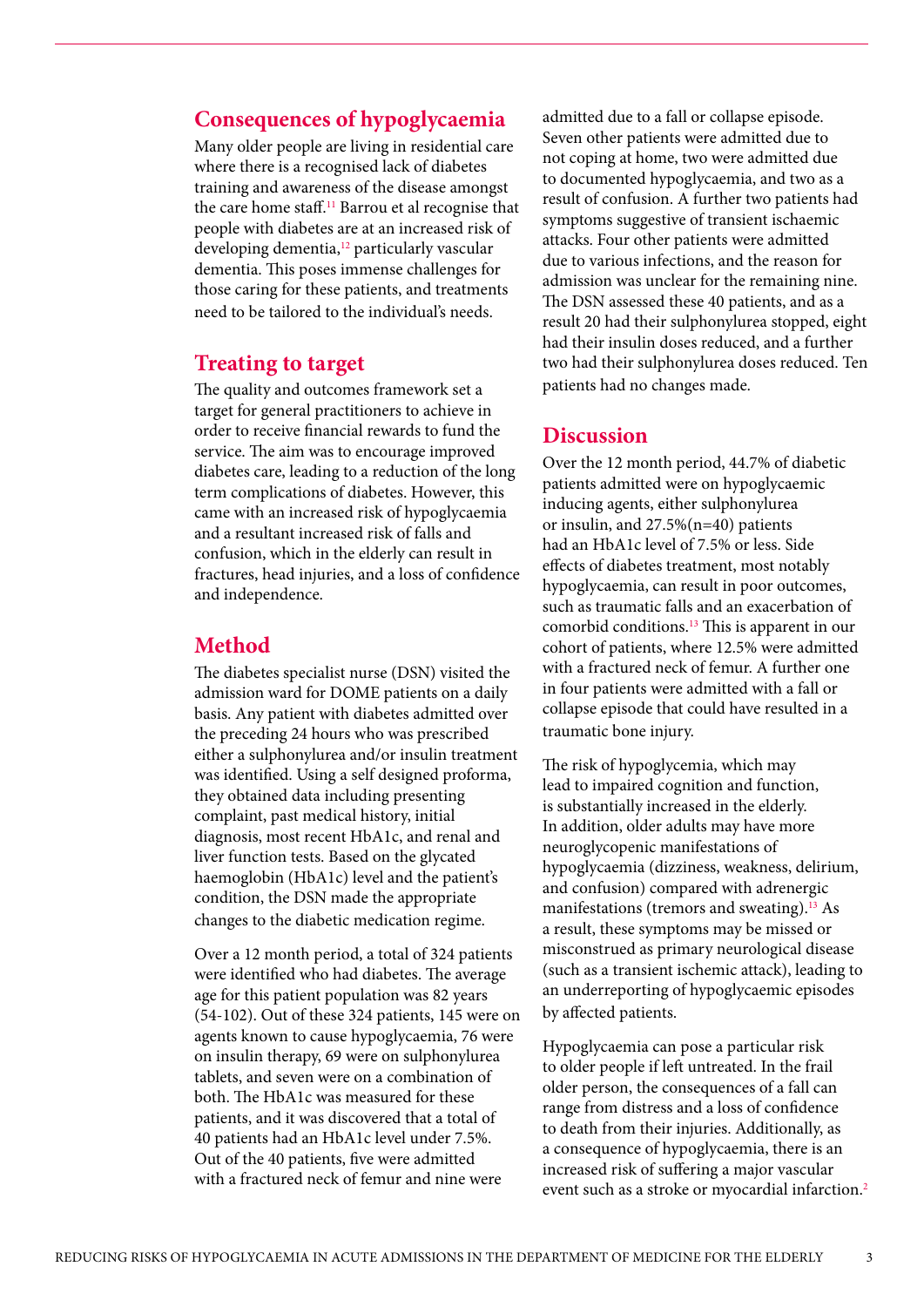# **Consequences of hypoglycaemia**

Many older people are living in residential care where there is a recognised lack of diabetes training and awareness of the disease amongst the care home staff.<sup>11</sup> Barrou et al recognise that people with diabetes are at an increased risk of developing dementia,<sup>12</sup> particularly vascular dementia. This poses immense challenges for those caring for these patients, and treatments need to be tailored to the individual's needs.

## **Treating to target**

The quality and outcomes framework set a target for general practitioners to achieve in order to receive financial rewards to fund the service. The aim was to encourage improved diabetes care, leading to a reduction of the long term complications of diabetes. However, this came with an increased risk of hypoglycaemia and a resultant increased risk of falls and confusion, which in the elderly can result in fractures, head injuries, and a loss of confidence and independence.

# **Method**

The diabetes specialist nurse (DSN) visited the admission ward for DOME patients on a daily basis. Any patient with diabetes admitted over the preceding 24 hours who was prescribed either a sulphonylurea and/or insulin treatment was identified. Using a self designed proforma, they obtained data including presenting complaint, past medical history, initial diagnosis, most recent HbA1c, and renal and liver function tests. Based on the glycated haemoglobin (HbA1c) level and the patient's condition, the DSN made the appropriate changes to the diabetic medication regime.

Over a 12 month period, a total of 324 patients were identified who had diabetes. The average age for this patient population was 82 years (54-102). Out of these 324 patients, 145 were on agents known to cause hypoglycaemia, 76 were on insulin therapy, 69 were on sulphonylurea tablets, and seven were on a combination of both. The HbA1c was measured for these patients, and it was discovered that a total of 40 patients had an HbA1c level under 7.5%. Out of the 40 patients, five were admitted with a fractured neck of femur and nine were

admitted due to a fall or collapse episode. Seven other patients were admitted due to not coping at home, two were admitted due to documented hypoglycaemia, and two as a result of confusion. A further two patients had symptoms suggestive of transient ischaemic attacks. Four other patients were admitted due to various infections, and the reason for admission was unclear for the remaining nine. The DSN assessed these 40 patients, and as a result 20 had their sulphonylurea stopped, eight had their insulin doses reduced, and a further two had their sulphonylurea doses reduced. Ten patients had no changes made.

#### **Discussion**

Over the 12 month period, 44.7% of diabetic patients admitted were on hypoglycaemic inducing agents, either sulphonylurea or insulin, and 27.5%(n=40) patients had an HbA1c level of 7.5% or less. Side effects of diabetes treatment, most notably hypoglycaemia, can result in poor outcomes, such as traumatic falls and an exacerbation of comorbid conditions.13 This is apparent in our cohort of patients, where 12.5% were admitted with a fractured neck of femur. A further one in four patients were admitted with a fall or collapse episode that could have resulted in a traumatic bone injury.

The risk of hypoglycemia, which may lead to impaired cognition and function, is substantially increased in the elderly. In addition, older adults may have more neuroglycopenic manifestations of hypoglycaemia (dizziness, weakness, delirium, and confusion) compared with adrenergic manifestations (tremors and sweating).<sup>13</sup> As a result, these symptoms may be missed or misconstrued as primary neurological disease (such as a transient ischemic attack), leading to an underreporting of hypoglycaemic episodes by affected patients.

Hypoglycaemia can pose a particular risk to older people if left untreated. In the frail older person, the consequences of a fall can range from distress and a loss of confidence to death from their injuries. Additionally, as a consequence of hypoglycaemia, there is an increased risk of suffering a major vascular event such as a stroke or myocardial infarction.<sup>2</sup>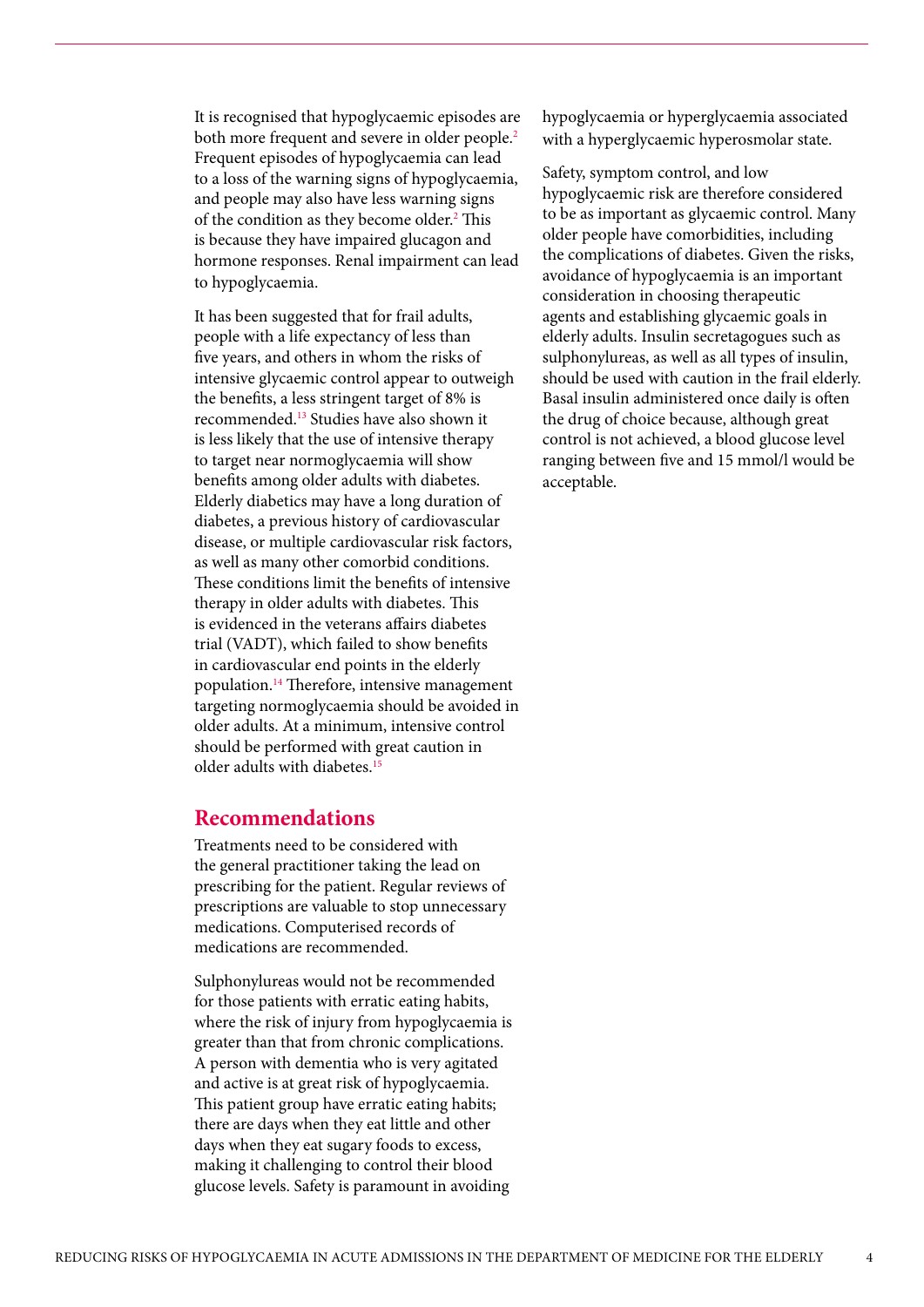It is recognised that hypoglycaemic episodes are both more frequent and severe in older people.<sup>2</sup> Frequent episodes of hypoglycaemia can lead to a loss of the warning signs of hypoglycaemia, and people may also have less warning signs of the condition as they become older.<sup>2</sup> This is because they have impaired glucagon and hormone responses. Renal impairment can lead to hypoglycaemia.

It has been suggested that for frail adults, people with a life expectancy of less than five years, and others in whom the risks of intensive glycaemic control appear to outweigh the benefits, a less stringent target of 8% is recommended.13 Studies have also shown it is less likely that the use of intensive therapy to target near normoglycaemia will show benefits among older adults with diabetes. Elderly diabetics may have a long duration of diabetes, a previous history of cardiovascular disease, or multiple cardiovascular risk factors, as well as many other comorbid conditions. These conditions limit the benefits of intensive therapy in older adults with diabetes. This is evidenced in the veterans affairs diabetes trial (VADT), which failed to show benefits in cardiovascular end points in the elderly population.14 Therefore, intensive management targeting normoglycaemia should be avoided in older adults. At a minimum, intensive control should be performed with great caution in older adults with diabetes.<sup>15</sup>

#### **Recommendations**

Treatments need to be considered with the general practitioner taking the lead on prescribing for the patient. Regular reviews of prescriptions are valuable to stop unnecessary medications. Computerised records of medications are recommended.

Sulphonylureas would not be recommended for those patients with erratic eating habits, where the risk of injury from hypoglycaemia is greater than that from chronic complications. A person with dementia who is very agitated and active is at great risk of hypoglycaemia. This patient group have erratic eating habits; there are days when they eat little and other days when they eat sugary foods to excess, making it challenging to control their blood glucose levels. Safety is paramount in avoiding

hypoglycaemia or hyperglycaemia associated with a hyperglycaemic hyperosmolar state.

Safety, symptom control, and low hypoglycaemic risk are therefore considered to be as important as glycaemic control. Many older people have comorbidities, including the complications of diabetes. Given the risks, avoidance of hypoglycaemia is an important consideration in choosing therapeutic agents and establishing glycaemic goals in elderly adults. Insulin secretagogues such as sulphonylureas, as well as all types of insulin, should be used with caution in the frail elderly. Basal insulin administered once daily is often the drug of choice because, although great control is not achieved, a blood glucose level ranging between five and 15 mmol/l would be acceptable.